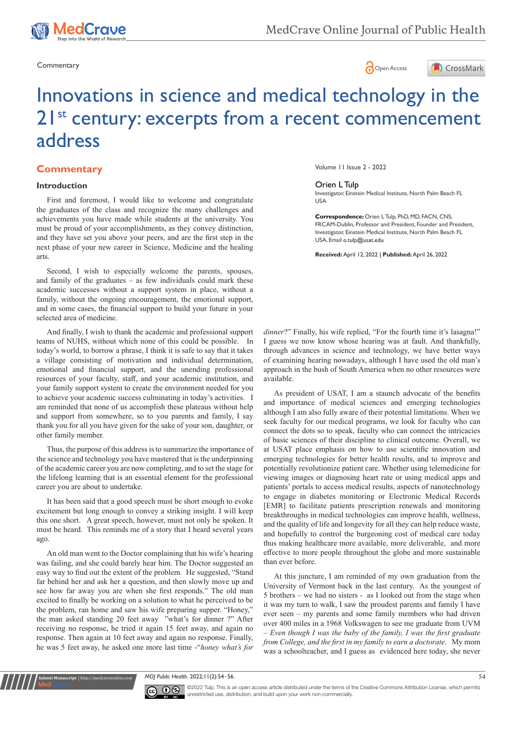





# Innovations in science and medical technology in the 21<sup>st</sup> century: excerpts from a recent commencement address

## **Commentary**

## **Introduction**

First and foremost, I would like to welcome and congratulate the graduates of the class and recognize the many challenges and achievements you have made while students at the university. You must be proud of your accomplishments, as they convey distinction, and they have set you above your peers, and are the first step in the next phase of your new career in Science, Medicine and the healing arts.

Second, I wish to especially welcome the parents, spouses, and family of the graduates – as few individuals could mark these academic successes without a support system in place, without a family, without the ongoing encouragement, the emotional support, and in some cases, the financial support to build your future in your selected area of medicine.

And finally, I wish to thank the academic and professional support teams of NUHS, without which none of this could be possible. In today's world, to borrow a phrase, I think it is safe to say that it takes a village consisting of motivation and individual determination, emotional and financial support, and the unending professional resources of your faculty, staff, and your academic institution, and your family support system to create the environment needed for you to achieve your academic success culminating in today's activities. I am reminded that none of us accomplish these plateaus without help and support from somewhere, so to you parents and family, I say thank you for all you have given for the sake of your son, daughter, or other family member.

Thus, the purpose of this address is to summarize the importance of the science and technology you have mastered that is the underpinning of the academic career you are now completing, and to set the stage for the lifelong learning that is an essential element for the professional career you are about to undertake.

It has been said that a good speech must be short enough to evoke excitement but long enough to convey a striking insight. I will keep this one short. A great speech, however, must not only be spoken. It must be heard. This reminds me of a story that I heard several years ago.

An old man went to the Doctor complaining that his wife's hearing was failing, and she could barely hear him. The Doctor suggested an easy way to find out the extent of the problem. He suggested, "Stand far behind her and ask her a question, and then slowly move up and see how far away you are when she first responds." The old man excited to finally be working on a solution to what he perceived to be the problem, ran home and saw his wife preparing supper. "Honey," the man asked standing 20 feet away "what's for dinner ?" After receiving no response, he tried it again 15 feet away, and again no response. Then again at 10 feet away and again no response. Finally, he was 5 feet away, he asked one more last time -"*honey what's for* 

**Krit Manuscript** | http://medcraveonline.c

Volume 11 Issue 2 - 2022

#### Orien L Tulp

Investigator, Einstein Medical Institute, North Palm Beach FL USA

**Correspondence:** Orien L Tulp, PhD, MD, FACN, CNS, FRCAM-Dublin, Professor and President, Founder and President, Investigator, Einstein Medical Institute, North Palm Beach FL USA, Email o.tulp@usat.edu

**Received:** April 12, 2022 | **Published:** April 26, 2022

*dinner*?" Finally, his wife replied, "For the fourth time it's lasagna!" I guess we now know whose hearing was at fault. And thankfully, through advances in science and technology, we have better ways of examining hearing nowadays, although I have used the old man's approach in the bush of South America when no other resources were available.

As president of USAT, I am a staunch advocate of the benefits and importance of medical sciences and emerging technologies although I am also fully aware of their potential limitations. When we seek faculty for our medical programs, we look for faculty who can connect the dots so to speak, faculty who can connect the intricacies of basic sciences of their discipline to clinical outcome. Overall, we at USAT place emphasis on how to use scientific innovation and emerging technologies for better health results, and to improve and potentially revolutionize patient care. Whether using telemedicine for viewing images or diagnosing heart rate or using medical apps and patients' portals to access medical results, aspects of nanotechnology to engage in diabetes monitoring or Electronic Medical Records [EMR] to facilitate patients prescription renewals and monitoring breakthroughs in medical technologies can improve health, wellness, and the quality of life and longevity for all they can help reduce waste, and hopefully to control the burgeoning cost of medical care today thus making healthcare more available, more deliverable, and more effective to more people throughout the globe and more sustainable than ever before.

At this juncture, I am reminded of my own graduation from the University of Vermont back in the last century. As the youngest of 5 brothers – we had no sisters - as I looked out from the stage when it was my turn to walk, I saw the proudest parents and family I have ever seen – my parents and some family members who had driven over 400 miles in a 1968 Volkswagen to see me graduate from UVM – *Even though I was the baby of the family, I was the first graduate from College, and the first in my family to earn a doctorate*. My mom was a schoolteacher, and I guess as evidenced here today, she never

*MOJ Public Health.* 2022;11(2):54‒56. 54



©2022 Tulp. This is an open access article distributed under the terms of the [Creative Commons Attribution License,](https://creativecommons.org/licenses/by-nc/4.0/) which permits unrestricted use, distribution, and build upon your work non-commercially.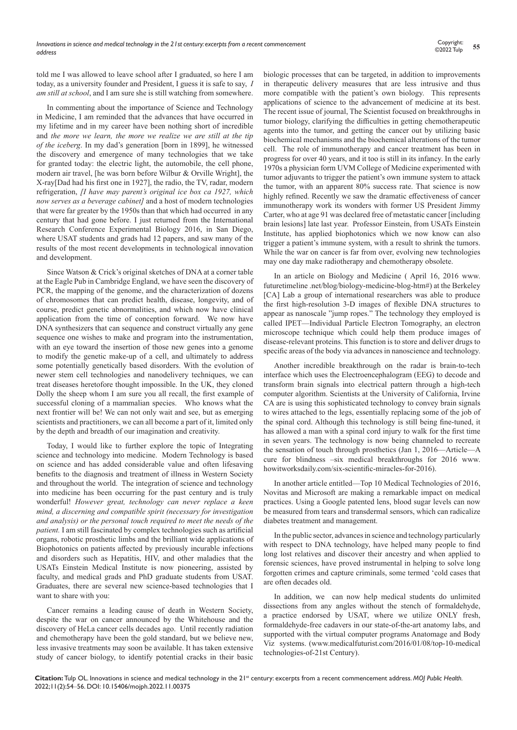told me I was allowed to leave school after I graduated, so here I am today, as a university founder and President, I guess it is safe to say, *I am still at school*, and I am sure she is still watching from somewhere.

In commenting about the importance of Science and Technology in Medicine, I am reminded that the advances that have occurred in my lifetime and in my career have been nothing short of incredible and *the more we learn, the more we realize we are still at the tip of the iceberg*. In my dad's generation [born in 1899], he witnessed the discovery and emergence of many technologies that we take for granted today: the electric light, the automobile, the cell phone, modern air travel, [he was born before Wilbur & Orville Wright], the X-ray[Dad had his first one in 1927], the radio, the TV, radar, modern refrigeration, *[I have may parent's original ice box ca 1927, which now serves as a beverage cabinet]* and a host of modern technologies that were far greater by the 1950s than that which had occurred in any century that had gone before. I just returned from the International Research Conference Experimental Biology 2016, in San Diego, where USAT students and grads had 12 papers, and saw many of the results of the most recent developments in technological innovation and development.

Since Watson & Crick's original sketches of DNA at a corner table at the Eagle Pub in Cambridge England, we have seen the discovery of PCR, the mapping of the genome, and the characterization of dozens of chromosomes that can predict health, disease, longevity, and of course, predict genetic abnormalities, and which now have clinical application from the time of conception forward. We now have DNA synthesizers that can sequence and construct virtually any gene sequence one wishes to make and program into the instrumentation, with an eye toward the insertion of those new genes into a genome to modify the genetic make-up of a cell, and ultimately to address some potentially genetically based disorders. With the evolution of newer stem cell technologies and nanodelivery techniques, we can treat diseases heretofore thought impossible. In the UK, they cloned Dolly the sheep whom I am sure you all recall, the first example of successful cloning of a mammalian species. Who knows what the next frontier will be! We can not only wait and see, but as emerging scientists and practitioners, we can all become a part of it, limited only by the depth and breadth of our imagination and creativity.

Today, I would like to further explore the topic of Integrating science and technology into medicine. Modern Technology is based on science and has added considerable value and often lifesaving benefits to the diagnosis and treatment of illness in Western Society and throughout the world. The integration of science and technology into medicine has been occurring for the past century and is truly wonderful! *However great, technology can never replace a keen mind, a discerning and compatible spirit (necessary for investigation and analysis) or the personal touch required to meet the needs of the patient.* I am still fascinated by complex technologies such as artificial organs, robotic prosthetic limbs and the brilliant wide applications of Biophotonics on patients affected by previously incurable infections and disorders such as Hepatitis, HIV, and other maladies that the USATs Einstein Medical Institute is now pioneering, assisted by faculty, and medical grads and PhD graduate students from USAT. Graduates, there are several new science-based technologies that I want to share with you:

Cancer remains a leading cause of death in Western Society, despite the war on cancer announced by the Whitehouse and the discovery of HeLa cancer cells decades ago. Until recently radiation and chemotherapy have been the gold standard, but we believe new, less invasive treatments may soon be available. It has taken extensive study of cancer biology, to identify potential cracks in their basic

biologic processes that can be targeted, in addition to improvements in therapeutic delivery measures that are less intrusive and thus more compatible with the patient's own biology. This represents applications of science to the advancement of medicine at its best. The recent issue of journal, The Scientist focused on breakthroughs in tumor biology, clarifying the difficulties in getting chemotherapeutic agents into the tumor, and getting the cancer out by utilizing basic biochemical mechanisms and the biochemical alterations of the tumor cell. The role of immunotherapy and cancer treatment has been in progress for over 40 years, and it too is still in its infancy. In the early 1970s a physician form UVM College of Medicine experimented with tumor adjuvants to trigger the patient's own immune system to attack the tumor, with an apparent 80% success rate. That science is now highly refined. Recently we saw the dramatic effectiveness of cancer immunotherapy work its wonders with former US President Jimmy Carter, who at age 91 was declared free of metastatic cancer [including brain lesions] late last year. Professor Einstein, from USATs Einstein Institute, has applied biophotonics which we now know can also trigger a patient's immune system, with a result to shrink the tumors. While the war on cancer is far from over, evolving new technologies may one day make radiotherapy and chemotherapy obsolete.

In an article on Biology and Medicine ( April 16, 2016 www. futuretimeline .net/blog/biology-medicine-blog-htm#) at the Berkeley [CA] Lab a group of international researchers was able to produce the first high-resolution 3-D images of flexible DNA structures to appear as nanoscale "jump ropes." The technology they employed is called IPET—Individual Particle Electron Tomography, an electron microscope technique which could help them produce images of disease-relevant proteins. This function is to store and deliver drugs to specific areas of the body via advances in nanoscience and technology.

Another incredible breakthrough on the radar is brain-to-tech interface which uses the Electroencephalogram (EEG) to decode and transform brain signals into electrical pattern through a high-tech computer algorithm. Scientists at the University of California, Irvine CA are is using this sophisticated technology to convey brain signals to wires attached to the legs, essentially replacing some of the job of the spinal cord. Although this technology is still being fine-tuned, it has allowed a man with a spinal cord injury to walk for the first time in seven years. The technology is now being channeled to recreate the sensation of touch through prosthetics (Jan 1, 2016—Article—A cure for blindness –six medical breakthroughs for 2016 www. howitworksdaily.com/six-scientific-miracles-for-2016).

In another article entitled—Top 10 Medical Technologies of 2016, Novitas and Microsoft are making a remarkable impact on medical practices. Using a Google patented lens, blood sugar levels can now be measured from tears and transdermal sensors, which can radicalize diabetes treatment and management.

In the public sector, advances in science and technology particularly with respect to DNA technology, have helped many people to find long lost relatives and discover their ancestry and when applied to forensic sciences, have proved instrumental in helping to solve long forgotten crimes and capture criminals, some termed 'cold cases that are often decades old.

In addition, we can now help medical students do unlimited dissections from any angles without the stench of formaldehyde, a practice endorsed by USAT, where we utilize ONLY fresh, formaldehyde-free cadavers in our state-of-the-art anatomy labs, and supported with the virtual computer programs Anatomage and Body Viz systems. (www.medicalfuturist.com/2016/01/08/top-10-medical technologies-of-21st Century).